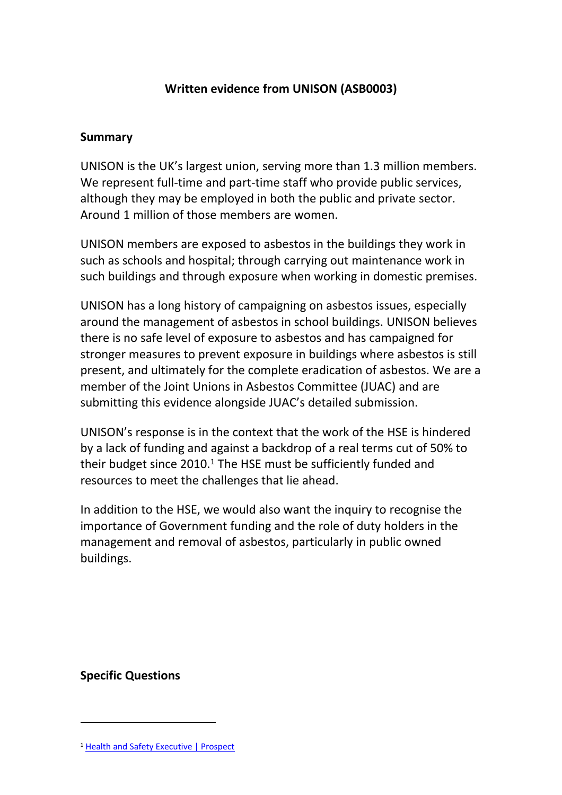## **Written evidence from UNISON (ASB0003)**

#### **Summary**

UNISON is the UK's largest union, serving more than 1.3 million members. We represent full-time and part-time staff who provide public services, although they may be employed in both the public and private sector. Around 1 million of those members are women.

UNISON members are exposed to asbestos in the buildings they work in such as schools and hospital; through carrying out maintenance work in such buildings and through exposure when working in domestic premises.

UNISON has a long history of campaigning on asbestos issues, especially around the management of asbestos in school buildings. UNISON believes there is no safe level of exposure to asbestos and has campaigned for stronger measures to prevent exposure in buildings where asbestos is still present, and ultimately for the complete eradication of asbestos. We are a member of the Joint Unions in Asbestos Committee (JUAC) and are submitting this evidence alongside JUAC's detailed submission.

UNISON's response is in the context that the work of the HSE is hindered by a lack of funding and against a backdrop of a real terms cut of 50% to their budget since  $2010<sup>1</sup>$ . The HSE must be sufficiently funded and resources to meet the challenges that lie ahead.

In addition to the HSE, we would also want the inquiry to recognise the importance of Government funding and the role of duty holders in the management and removal of asbestos, particularly in public owned buildings.

**Specific Questions**

<sup>&</sup>lt;sup>1</sup> [Health](https://prospect.org.uk/health-and-safety-executive/) [and](https://prospect.org.uk/health-and-safety-executive/) [Safety](https://prospect.org.uk/health-and-safety-executive/) [Executive](https://prospect.org.uk/health-and-safety-executive/) [|](https://prospect.org.uk/health-and-safety-executive/) [Prospect](https://prospect.org.uk/health-and-safety-executive/)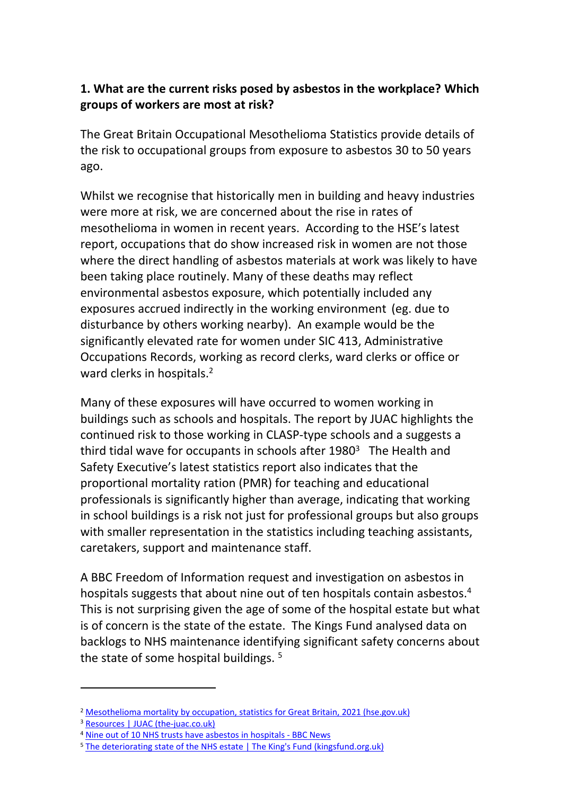## **1. What are the current risks posed by asbestos in the workplace? Which groups of workers are most at risk?**

The Great Britain Occupational Mesothelioma Statistics provide details of the risk to occupational groups from exposure to asbestos 30 to 50 years ago.

Whilst we recognise that historically men in building and heavy industries were more at risk, we are concerned about the rise in rates of mesothelioma in women in recent years. According to the HSE's latest report, occupations that do show increased risk in women are not those where the direct handling of asbestos materials at work was likely to have been taking place routinely. Many of these deaths may reflect environmental asbestos exposure, which potentially included any exposures accrued indirectly in the working environment (eg. due to disturbance by others working nearby). An example would be the significantly elevated rate for women under SIC 413, Administrative Occupations Records, working as record clerks, ward clerks or office or ward clerks in hospitals.<sup>2</sup>

Many of these exposures will have occurred to women working in buildings such as schools and hospitals. The report by JUAC highlights the continued risk to those working in CLASP-type schools and a suggests a third tidal wave for occupants in schools after 1980<sup>3</sup> The Health and Safety Executive's latest statistics report also indicates that the proportional mortality ration (PMR) for teaching and educational professionals is significantly higher than average, indicating that working in school buildings is a risk not just for professional groups but also groups with smaller representation in the statistics including teaching assistants, caretakers, support and maintenance staff.

A BBC Freedom of Information request and investigation on asbestos in hospitals suggests that about nine out of ten hospitals contain asbestos.<sup>4</sup> This is not surprising given the age of some of the hospital estate but what is of concern is the state of the estate. The Kings Fund analysed data on backlogs to NHS maintenance identifying significant safety concerns about the state of some hospital buildings.<sup>5</sup>

<sup>&</sup>lt;sup>2</sup> [Mesothelioma](https://www.hse.gov.uk/statistics/causdis/mesothelioma/mesothelioma-mortality-by-occupation.pdf) [mortality](https://www.hse.gov.uk/statistics/causdis/mesothelioma/mesothelioma-mortality-by-occupation.pdf) [by](https://www.hse.gov.uk/statistics/causdis/mesothelioma/mesothelioma-mortality-by-occupation.pdf) [occupation,](https://www.hse.gov.uk/statistics/causdis/mesothelioma/mesothelioma-mortality-by-occupation.pdf) [statistics](https://www.hse.gov.uk/statistics/causdis/mesothelioma/mesothelioma-mortality-by-occupation.pdf) [for](https://www.hse.gov.uk/statistics/causdis/mesothelioma/mesothelioma-mortality-by-occupation.pdf) [Great](https://www.hse.gov.uk/statistics/causdis/mesothelioma/mesothelioma-mortality-by-occupation.pdf) [Britain,](https://www.hse.gov.uk/statistics/causdis/mesothelioma/mesothelioma-mortality-by-occupation.pdf) [2021](https://www.hse.gov.uk/statistics/causdis/mesothelioma/mesothelioma-mortality-by-occupation.pdf) [\(hse.gov.uk\)](https://www.hse.gov.uk/statistics/causdis/mesothelioma/mesothelioma-mortality-by-occupation.pdf)

<sup>3</sup> [Resources](https://the-juac.co.uk/resources/) [|](https://the-juac.co.uk/resources/) [JUAC](https://the-juac.co.uk/resources/) [\(the-juac.co.uk\)](https://the-juac.co.uk/resources/)

<sup>4</sup> [Nine](https://www.bbc.co.uk/news/uk-england-45561384) [out](https://www.bbc.co.uk/news/uk-england-45561384) [of](https://www.bbc.co.uk/news/uk-england-45561384) [10](https://www.bbc.co.uk/news/uk-england-45561384) [NHS](https://www.bbc.co.uk/news/uk-england-45561384) [trusts](https://www.bbc.co.uk/news/uk-england-45561384) [have](https://www.bbc.co.uk/news/uk-england-45561384) [asbestos](https://www.bbc.co.uk/news/uk-england-45561384) [in](https://www.bbc.co.uk/news/uk-england-45561384) [hospitals](https://www.bbc.co.uk/news/uk-england-45561384) [-](https://www.bbc.co.uk/news/uk-england-45561384) [BBC](https://www.bbc.co.uk/news/uk-england-45561384) [News](https://www.bbc.co.uk/news/uk-england-45561384)

<sup>&</sup>lt;sup>5</sup> [The](https://www.kingsfund.org.uk/blog/2019/10/ERIC-data-nhs-estate) [deteriorating](https://www.kingsfund.org.uk/blog/2019/10/ERIC-data-nhs-estate) [state](https://www.kingsfund.org.uk/blog/2019/10/ERIC-data-nhs-estate) [of](https://www.kingsfund.org.uk/blog/2019/10/ERIC-data-nhs-estate) [the](https://www.kingsfund.org.uk/blog/2019/10/ERIC-data-nhs-estate) [NHS](https://www.kingsfund.org.uk/blog/2019/10/ERIC-data-nhs-estate) [estate](https://www.kingsfund.org.uk/blog/2019/10/ERIC-data-nhs-estate) [|](https://www.kingsfund.org.uk/blog/2019/10/ERIC-data-nhs-estate) The [King's](https://www.kingsfund.org.uk/blog/2019/10/ERIC-data-nhs-estate) [Fund](https://www.kingsfund.org.uk/blog/2019/10/ERIC-data-nhs-estate) [\(kingsfund.org.uk\)](https://www.kingsfund.org.uk/blog/2019/10/ERIC-data-nhs-estate)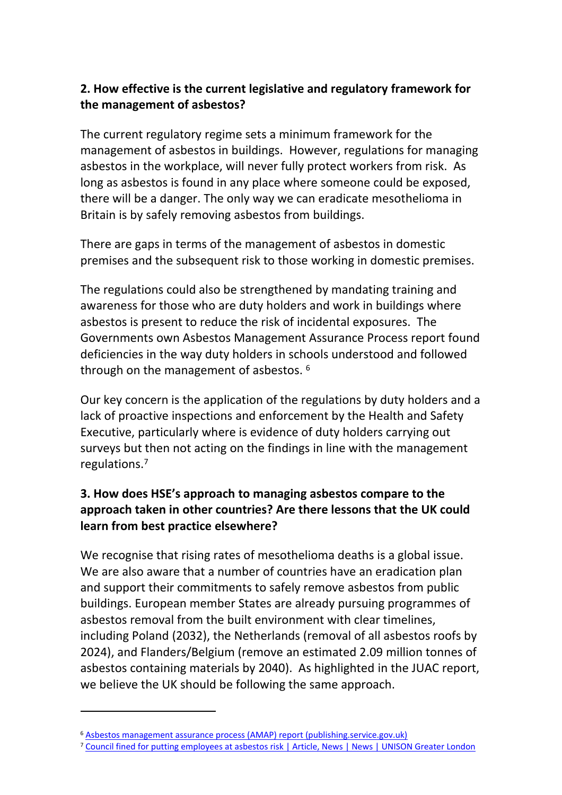## **2. How effective is the current legislative and regulatory framework for the management of asbestos?**

The current regulatory regime sets a minimum framework for the management of asbestos in buildings. However, regulations for managing asbestos in the workplace, will never fully protect workers from risk. As long as asbestos is found in any place where someone could be exposed, there will be a danger. The only way we can eradicate mesothelioma in Britain is by safely removing asbestos from buildings.

There are gaps in terms of the management of asbestos in domestic premises and the subsequent risk to those working in domestic premises.

The regulations could also be strengthened by mandating training and awareness for those who are duty holders and work in buildings where asbestos is present to reduce the risk of incidental exposures. The Governments own Asbestos Management Assurance Process report found deficiencies in the way duty holders in schools understood and followed through on the management of asbestos. <sup>6</sup>

Our key concern is the application of the regulations by duty holders and a lack of proactive inspections and enforcement by the Health and Safety Executive, particularly where is evidence of duty holders carrying out surveys but then not acting on the findings in line with the management regulations.<sup>7</sup>

# **3. How does HSE's approach to managing asbestos compare to the approach taken in other countries? Are there lessons that the UK could learn from best practice elsewhere?**

We recognise that rising rates of mesothelioma deaths is a global issue. We are also aware that a number of countries have an eradication plan and support their commitments to safely remove asbestos from public buildings. European member States are already pursuing programmes of asbestos removal from the built environment with clear timelines, including Poland (2032), the Netherlands (removal of all asbestos roofs by 2024), and Flanders/Belgium (remove an estimated 2.09 million tonnes of asbestos containing materials by 2040). As highlighted in the JUAC report, we believe the UK should be following the same approach.

<sup>6</sup> [Asbestos](https://assets.publishing.service.gov.uk/government/uploads/system/uploads/attachment_data/file/906343/AMAP_Report_2019.pdf) [management](https://assets.publishing.service.gov.uk/government/uploads/system/uploads/attachment_data/file/906343/AMAP_Report_2019.pdf) [assurance](https://assets.publishing.service.gov.uk/government/uploads/system/uploads/attachment_data/file/906343/AMAP_Report_2019.pdf) [process](https://assets.publishing.service.gov.uk/government/uploads/system/uploads/attachment_data/file/906343/AMAP_Report_2019.pdf) [\(AMAP\)](https://assets.publishing.service.gov.uk/government/uploads/system/uploads/attachment_data/file/906343/AMAP_Report_2019.pdf) [report](https://assets.publishing.service.gov.uk/government/uploads/system/uploads/attachment_data/file/906343/AMAP_Report_2019.pdf) [\(publishing.service.gov.uk\)](https://assets.publishing.service.gov.uk/government/uploads/system/uploads/attachment_data/file/906343/AMAP_Report_2019.pdf)

<sup>7</sup> [Council](https://london.unison.org.uk/2015/06/03/council-fined-for-putting-employees-at-asbestos-risk/) [fined](https://london.unison.org.uk/2015/06/03/council-fined-for-putting-employees-at-asbestos-risk/) [for](https://london.unison.org.uk/2015/06/03/council-fined-for-putting-employees-at-asbestos-risk/) [putting](https://london.unison.org.uk/2015/06/03/council-fined-for-putting-employees-at-asbestos-risk/) [employees](https://london.unison.org.uk/2015/06/03/council-fined-for-putting-employees-at-asbestos-risk/) [at](https://london.unison.org.uk/2015/06/03/council-fined-for-putting-employees-at-asbestos-risk/) [asbestos](https://london.unison.org.uk/2015/06/03/council-fined-for-putting-employees-at-asbestos-risk/) [risk](https://london.unison.org.uk/2015/06/03/council-fined-for-putting-employees-at-asbestos-risk/) [|](https://london.unison.org.uk/2015/06/03/council-fined-for-putting-employees-at-asbestos-risk/) [Article,](https://london.unison.org.uk/2015/06/03/council-fined-for-putting-employees-at-asbestos-risk/) [News](https://london.unison.org.uk/2015/06/03/council-fined-for-putting-employees-at-asbestos-risk/) [|](https://london.unison.org.uk/2015/06/03/council-fined-for-putting-employees-at-asbestos-risk/) [News](https://london.unison.org.uk/2015/06/03/council-fined-for-putting-employees-at-asbestos-risk/) [|](https://london.unison.org.uk/2015/06/03/council-fined-for-putting-employees-at-asbestos-risk/) [UNISON](https://london.unison.org.uk/2015/06/03/council-fined-for-putting-employees-at-asbestos-risk/) [Greater](https://london.unison.org.uk/2015/06/03/council-fined-for-putting-employees-at-asbestos-risk/) [London](https://london.unison.org.uk/2015/06/03/council-fined-for-putting-employees-at-asbestos-risk/)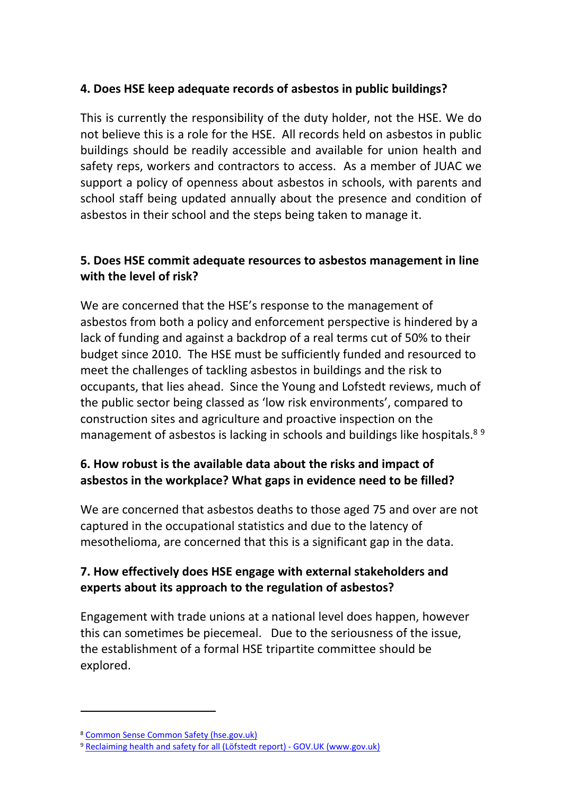## **4. Does HSE keep adequate records of asbestos in public buildings?**

This is currently the responsibility of the duty holder, not the HSE. We do not believe this is a role for the HSE. All records held on asbestos in public buildings should be readily accessible and available for union health and safety reps, workers and contractors to access. As a member of JUAC we support a policy of openness about asbestos in schools, with parents and school staff being updated annually about the presence and condition of asbestos in their school and the steps being taken to manage it.

## **5. Does HSE commit adequate resources to asbestos management in line with the level of risk?**

We are concerned that the HSE's response to the management of asbestos from both a policy and enforcement perspective is hindered by a lack of funding and against a backdrop of a real terms cut of 50% to their budget since 2010. The HSE must be sufficiently funded and resourced to meet the challenges of tackling asbestos in buildings and the risk to occupants, that lies ahead. Since the Young and Lofstedt reviews, much of the public sector being classed as 'low risk environments', compared to construction sites and agriculture and proactive inspection on the management of asbestos is lacking in schools and buildings like hospitals.<sup>89</sup>

# **6. How robust is the available data about the risks and impact of asbestos in the workplace? What gaps in evidence need to be filled?**

We are concerned that asbestos deaths to those aged 75 and over are not captured in the occupational statistics and due to the latency of mesothelioma, are concerned that this is a significant gap in the data.

# **7. How effectively does HSE engage with external stakeholders and experts about its approach to the regulation of asbestos?**

Engagement with trade unions at a national level does happen, however this can sometimes be piecemeal. Due to the seriousness of the issue, the establishment of a formal HSE tripartite committee should be explored.

<sup>8</sup> [Common](https://www.hse.gov.uk/aboutus/commonsense/index.htm) [Sense](https://www.hse.gov.uk/aboutus/commonsense/index.htm) [Common](https://www.hse.gov.uk/aboutus/commonsense/index.htm) [Safety](https://www.hse.gov.uk/aboutus/commonsense/index.htm) [\(hse.gov.uk\)](https://www.hse.gov.uk/aboutus/commonsense/index.htm)

<sup>9</sup> [Reclaiming](https://www.gov.uk/government/publications/reclaiming-health-and-safety-for-all-lofstedt-report) [health](https://www.gov.uk/government/publications/reclaiming-health-and-safety-for-all-lofstedt-report) [and](https://www.gov.uk/government/publications/reclaiming-health-and-safety-for-all-lofstedt-report) [safety](https://www.gov.uk/government/publications/reclaiming-health-and-safety-for-all-lofstedt-report) [for](https://www.gov.uk/government/publications/reclaiming-health-and-safety-for-all-lofstedt-report) [all](https://www.gov.uk/government/publications/reclaiming-health-and-safety-for-all-lofstedt-report) [\(Löfstedt](https://www.gov.uk/government/publications/reclaiming-health-and-safety-for-all-lofstedt-report) [report\)](https://www.gov.uk/government/publications/reclaiming-health-and-safety-for-all-lofstedt-report) [-](https://www.gov.uk/government/publications/reclaiming-health-and-safety-for-all-lofstedt-report) [GOV.UK](https://www.gov.uk/government/publications/reclaiming-health-and-safety-for-all-lofstedt-report) [\(www.gov.uk\)](https://www.gov.uk/government/publications/reclaiming-health-and-safety-for-all-lofstedt-report)